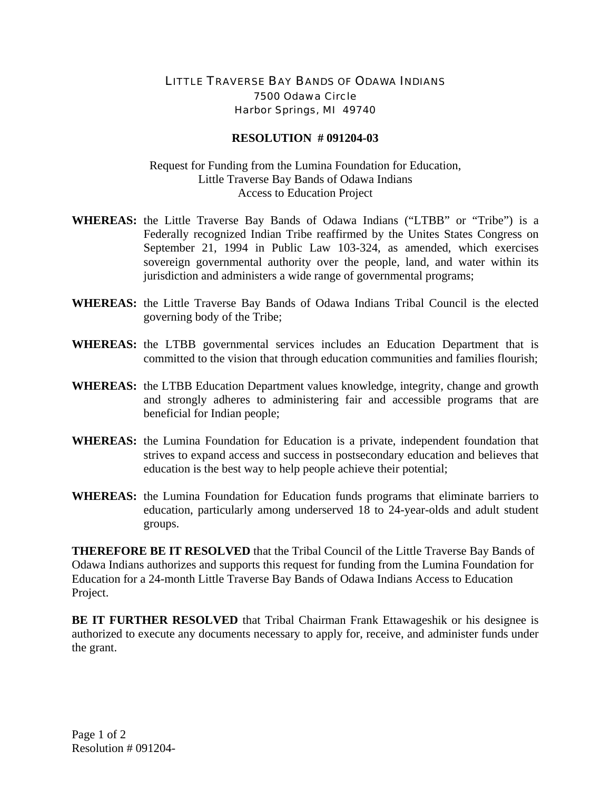## LITTLE TRAVERSE BAY BANDS OF ODAWA INDIANS 7500 Odawa Circle Harbor Springs, MI 49740

## **RESOLUTION # 091204-03**

## Request for Funding from the Lumina Foundation for Education, Little Traverse Bay Bands of Odawa Indians Access to Education Project

- **WHEREAS:** the Little Traverse Bay Bands of Odawa Indians ("LTBB" or "Tribe") is a Federally recognized Indian Tribe reaffirmed by the Unites States Congress on September 21, 1994 in Public Law 103-324, as amended, which exercises sovereign governmental authority over the people, land, and water within its jurisdiction and administers a wide range of governmental programs;
- **WHEREAS:** the Little Traverse Bay Bands of Odawa Indians Tribal Council is the elected governing body of the Tribe;
- **WHEREAS:** the LTBB governmental services includes an Education Department that is committed to the vision that through education communities and families flourish;
- **WHEREAS:** the LTBB Education Department values knowledge, integrity, change and growth and strongly adheres to administering fair and accessible programs that are beneficial for Indian people;
- **WHEREAS:** the Lumina Foundation for Education is a private, independent foundation that strives to expand access and success in postsecondary education and believes that education is the best way to help people achieve their potential;
- **WHEREAS:** the Lumina Foundation for Education funds programs that eliminate barriers to education, particularly among underserved 18 to 24-year-olds and adult student groups.

**THEREFORE BE IT RESOLVED** that the Tribal Council of the Little Traverse Bay Bands of Odawa Indians authorizes and supports this request for funding from the Lumina Foundation for Education for a 24-month Little Traverse Bay Bands of Odawa Indians Access to Education Project.

**BE IT FURTHER RESOLVED** that Tribal Chairman Frank Ettawageshik or his designee is authorized to execute any documents necessary to apply for, receive, and administer funds under the grant.